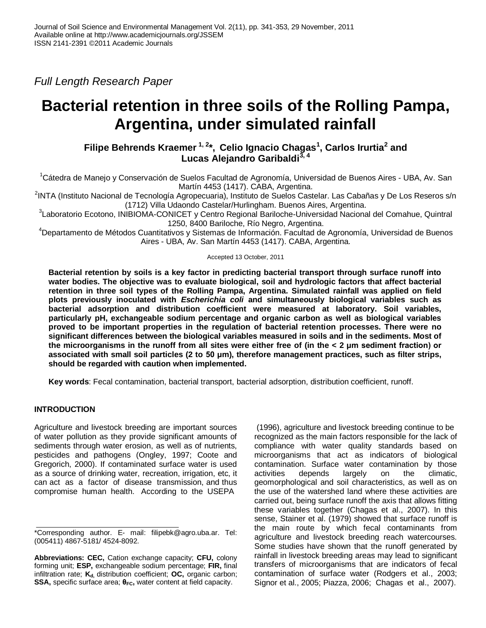*Full Length Research Paper*

# **Bacterial retention in three soils of the Rolling Pampa, Argentina, under simulated rainfall**

**Filipe Behrends Kraemer 1, 2\*, Celio Ignacio Chagas<sup>1</sup> , Carlos Irurtia<sup>2</sup> and Lucas Alejandro Garibaldi3, 4**

<sup>1</sup>Cátedra de Manejo y Conservación de Suelos Facultad de Agronomía, Universidad de Buenos Aires - UBA, Av. San Martín 4453 (1417). CABA, Argentina.

2 INTA (Instituto Nacional de Tecnología Agropecuaria), Instituto de Suelos Castelar. Las Cabañas y De Los Reseros s/n (1712) Villa Udaondo Castelar/Hurlingham. Buenos Aires, Argentina.

3 Laboratorio Ecotono, INIBIOMA-CONICET y Centro Regional Bariloche-Universidad Nacional del Comahue, Quintral 1250, 8400 Bariloche, Río Negro, Argentina.

<sup>4</sup>Departamento de Métodos Cuantitativos y Sistemas de Información. Facultad de Agronomía, Universidad de Buenos Aires - UBA, Av. San Martín 4453 (1417). CABA, Argentina*.*

Accepted 13 October, 2011

**Bacterial retention by soils is a key factor in predicting bacterial transport through surface runoff into water bodies. The objective was to evaluate biological, soil and hydrologic factors that affect bacterial retention in three soil types of the Rolling Pampa, Argentina. Simulated rainfall was applied on field plots previously inoculated with** *Escherichia coli* **and simultaneously biological variables such as bacterial adsorption and distribution coefficient were measured at laboratory. Soil variables, particularly pH, exchangeable sodium percentage and organic carbon as well as biological variables proved to be important properties in the regulation of bacterial retention processes. There were no significant differences between the biological variables measured in soils and in the sediments. Most of the microorganisms in the runoff from all sites were either free of (in the < 2 μm sediment fraction) or associated with small soil particles (2 to 50 μm), therefore management practices, such as filter strips, should be regarded with caution when implemented.**

**Key words**: Fecal contamination, bacterial transport, bacterial adsorption, distribution coefficient, runoff.

# **INTRODUCTION**

Agriculture and livestock breeding are important sources of water pollution as they provide significant amounts of sediments through water erosion, as well as of nutrients, pesticides and pathogens (Ongley, 1997; Coote and Gregorich, 2000). If contaminated surface water is used as a source of drinking water, recreation, irrigation, etc, it can act as a factor of disease transmission, and thus compromise human health. According to the USEPA

(1996), agriculture and livestock breeding continue to be recognized as the main factors responsible for the lack of compliance with water quality standards based on microorganisms that act as indicators of biological contamination. Surface water contamination by those activities depends largely on the climatic, geomorphological and soil characteristics, as well as on the use of the watershed land where these activities are carried out, being surface runoff the axis that allows fitting these variables together (Chagas et al., 2007). In this sense, Stainer et al. (1979) showed that surface runoff is the main route by which fecal contaminants from agriculture and livestock breeding reach watercourses. Some studies have shown that the runoff generated by rainfall in livestock breeding areas may lead to significant transfers of microorganisms that are indicators of fecal contamination of surface water (Rodgers et al., 2003; Signor et al., 2005; Piazza, 2006; Chagas et al., 2007).

<sup>\*</sup>Corresponding author. E- mail: filipebk@agro.uba.ar. Tel: (005411) 4867-5181/ 4524-8092.

**Abbreviations: CEC,** Cation exchange capacity; **CFU,** colony forming unit; **ESP,** exchangeable sodium percentage; **FIR,** final infiltration rate; **Kd,** distribution coefficient; **OC,** organic carbon; **SSA,** specific surface area; **θFC,** water content at field capacity.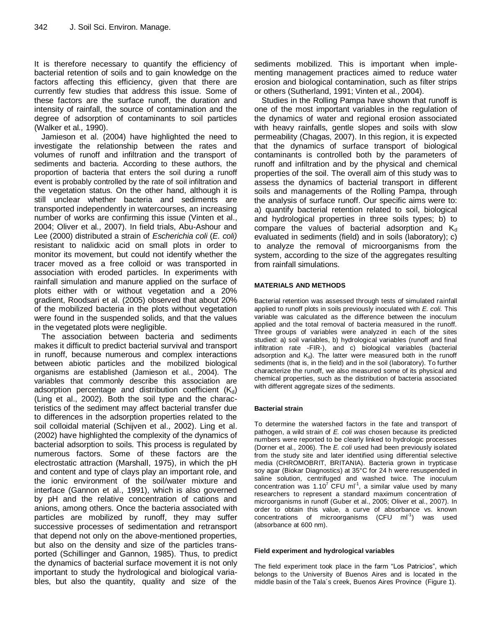It is therefore necessary to quantify the efficiency of bacterial retention of soils and to gain knowledge on the factors affecting this efficiency, given that there are currently few studies that address this issue. Some of these factors are the surface runoff, the duration and intensity of rainfall, the source of contamination and the degree of adsorption of contaminants to soil particles (Walker et al*.,* 1990).

Jamieson et al. (2004) have highlighted the need to investigate the relationship between the rates and volumes of runoff and infiltration and the transport of sediments and bacteria. According to these authors, the proportion of bacteria that enters the soil during a runoff event is probably controlled by the rate of soil infiltration and the vegetation status. On the other hand, although it is still unclear whether bacteria and sediments are transported independently in watercourses, an increasing number of works are confirming this issue (Vinten et al., 2004; Oliver et al., 2007). In field trials, Abu-Ashour and Lee (2000) distributed a strain of *Escherichia coli* (*E. coli)* resistant to nalidixic acid on small plots in order to monitor its movement, but could not identify whether the tracer moved as a free colloid or was transported in association with eroded particles. In experiments with rainfall simulation and manure applied on the surface of plots either with or without vegetation and a 20% gradient, Roodsari et al. (2005) observed that about 20% of the mobilized bacteria in the plots without vegetation were found in the suspended solids, and that the values in the vegetated plots were negligible.

The association between bacteria and sediments makes it difficult to predict bacterial survival and transport in runoff, because numerous and complex interactions between abiotic particles and the mobilized biological organisms are established (Jamieson et al., 2004). The variables that commonly describe this association are adsorption percentage and distribution coefficient  $(K_d)$ (Ling et al., 2002). Both the soil type and the characteristics of the sediment may affect bacterial transfer due to differences in the adsorption properties related to the soil colloidal material (Schijven et al., 2002). Ling et al. (2002) have highlighted the complexity of the dynamics of bacterial adsorption to soils. This process is regulated by numerous factors. Some of these factors are the electrostatic attraction (Marshall, 1975), in which the pH and content and type of clays play an important role, and the ionic environment of the soil/water mixture and interface (Gannon et al., 1991), which is also governed by pH and the relative concentration of cations and anions, among others. Once the bacteria associated with particles are mobilized by runoff, they may suffer successive processes of sedimentation and retransport that depend not only on the above-mentioned properties, but also on the density and size of the particles transported (Schillinger and Gannon, 1985). Thus, to predict the dynamics of bacterial surface movement it is not only important to study the hydrological and biological variables, but also the quantity, quality and size of the

sediments mobilized. This is important when implementing management practices aimed to reduce water erosion and biological contamination, such as filter strips or others (Sutherland, 1991; Vinten et al., 2004).

Studies in the Rolling Pampa have shown that runoff is one of the most important variables in the regulation of the dynamics of water and regional erosion associated with heavy rainfalls, gentle slopes and soils with slow permeability (Chagas, 2007). In this region, it is expected that the dynamics of surface transport of biological contaminants is controlled both by the parameters of runoff and infiltration and by the physical and chemical properties of the soil. The overall aim of this study was to assess the dynamics of bacterial transport in different soils and managements of the Rolling Pampa, through the analysis of surface runoff. Our specific aims were to: a) quantify bacterial retention related to soil, biological and hydrological properties in three soils types; b) to compare the values of bacterial adsorption and  $K_d$ evaluated in sediments (field) and in soils (laboratory); c) to analyze the removal of microorganisms from the system, according to the size of the aggregates resulting from rainfall simulations.

## **MATERIALS AND METHODS**

Bacterial retention was assessed through tests of simulated rainfall applied to runoff plots in soils previously inoculated with *E. coli.* This variable was calculated as the difference between the inoculum applied and the total removal of bacteria measured in the runoff. Three groups of variables were analyzed in each of the sites studied: a) soil variables, b) hydrological variables (runoff and final infiltration rate -FIR-), and c) biological variables (bacterial adsorption and  $K_d$ ). The latter were measured both in the runoff sediments (that is, in the field) and in the soil (laboratory). To further characterize the runoff, we also measured some of its physical and chemical properties, such as the distribution of bacteria associated with different aggregate sizes of the sediments.

## **Bacterial strain**

To determine the watershed factors in the fate and transport of pathogen, a wild strain of *E. coli was* chosen because its predicted numbers were reported to be clearly linked to hydrologic processes (Dorner et al., 2006). The *E. coli* used had been previously isolated from the study site and later identified using differential selective media (CHROMOBRIT, BRITANIA). Bacteria grown in trypticase soy agar (Biokar Diagnostics) at 35°C for 24 h were resuspended in saline solution, centrifuged and washed twice. The inoculum concentration was 1.10<sup>7</sup> CFU ml<sup>-1</sup>, a similar value used by many researchers to represent a standard maximum concentration of microorganisms in runoff (Guber et al., 2005; Oliver et al., 2007). In order to obtain this value, a curve of absorbance vs. known concentrations of microorganisms (CFU  $ml^{-1}$ ) was used (absorbance at 600 nm).

## **Field experiment and hydrological variables**

The field experiment took place in the farm "Los Patricios", which belongs to the University of Buenos Aires and is located in the middle basin of the Tala´s creek, Buenos Aires Province (Figure 1).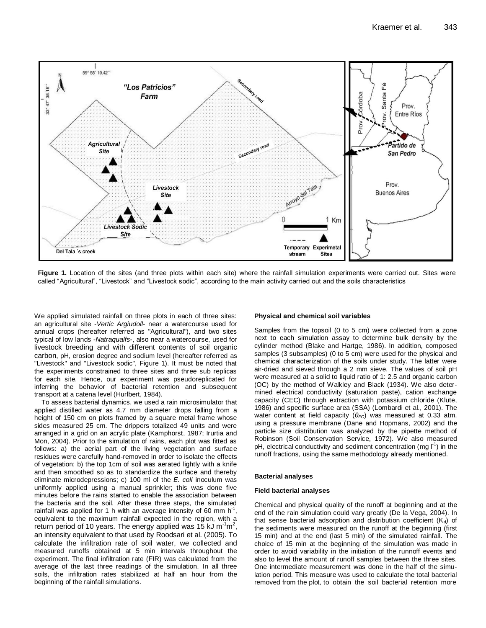

**Figure 1.** Location of the sites (and three plots within each site) where the rainfall simulation experiments were carried out. Sites were called "Agricultural", "Livestock" and "Livestock sodic", according to the main activity carried out and the soils characteristics

We applied simulated rainfall on three plots in each of three sites: an agricultural site -*Vertic Argiudoll*- near a watercourse used for annual crops (hereafter referred as "Agricultural"), and two sites typical of low lands -*Natraqualfs*-, also near a watercourse, used for livestock breeding and with different contents of soil organic carbon, pH, erosion degree and sodium level (hereafter referred as "Livestock" and "Livestock sodic", Figure 1). It must be noted that the experiments constrained to three sites and three sub replicas for each site. Hence, our experiment was pseudoreplicated for inferring the behavior of bacterial retention and subsequent transport at a catena level (Hurlbert, 1984).

To assess bacterial dynamics, we used a rain microsimulator that applied distilled water as 4.7 mm diameter drops falling from a height of 150 cm on plots framed by a square metal frame whose sides measured 25 cm. The drippers totalized 49 units and were arranged in a grid on an acrylic plate (Kamphorst, 1987; Irurtia and Mon, 2004). Prior to the simulation of rains, each plot was fitted as follows: a) the aerial part of the living vegetation and surface residues were carefully hand-removed in order to isolate the effects of vegetation; b) the top 1cm of soil was aerated lightly with a knife and then smoothed so as to standardize the surface and thereby eliminate microdepressions; c) 100 ml of the *E. coli* inoculum was uniformly applied using a manual sprinkler; this was done five minutes before the rains started to enable the association between the bacteria and the soil. After these three steps, the simulated rainfall was applied for 1 h with an average intensity of 60 mm  $h^{-1}$ , equivalent to the maximum rainfall expected in the region, with a return period of 10 years. The energy applied was 15 kJ m<sup>-1</sup>m<sup>2</sup>, an intensity equivalent to that used by Roodsari et al. (2005). To calculate the infiltration rate of soil water, we collected and measured runoffs obtained at 5 min intervals throughout the experiment. The final infiltration rate (FIR) was calculated from the average of the last three readings of the simulation. In all three soils, the infiltration rates stabilized at half an hour from the beginning of the rainfall simulations.

## **Physical and chemical soil variables**

Samples from the topsoil (0 to 5 cm) were collected from a zone next to each simulation assay to determine bulk density by the cylinder method (Blake and Hartge, 1986). In addition, composed samples (3 subsamples) (0 to 5 cm) were used for the physical and chemical characterization of the soils under study. The latter were air-dried and sieved through a 2 mm sieve. The values of soil pH were measured at a solid to liquid ratio of 1: 2.5 and organic carbon (OC) by the method of Walkley and Black (1934). We also determined electrical conductivity (saturation paste), cation exchange capacity (CEC) through extraction with potassium chloride (Klute, 1986) and specific surface area (SSA) (Lombardi et al., 2001). The water content at field capacity (*θFC*) was measured at 0.33 atm. using a pressure membrane (Dane and Hopmans, 2002) and the particle size distribution was analyzed by the pipette method of Robinson (Soil Conservation Service, 1972). We also measured pH, electrical conductivity and sediment concentration (mg  $I<sup>1</sup>$ ) in the runoff fractions, using the same methodology already mentioned.

## **Bacterial analyses**

## **Field bacterial analyses**

Chemical and physical quality of the runoff at beginning and at the end of the rain simulation could vary greatly (De la Vega, 2004). In that sense bacterial adsorption and distribution coefficient  $(K_d)$  of the sediments were measured on the runoff at the beginning (first 15 min) and at the end (last 5 min) of the simulated rainfall. The choice of 15 min at the beginning of the simulation was made in order to avoid variability in the initiation of the runnoff events and also to level the amount of runoff samples between the three sites. One intermediate measurement was done in the half of the simulation period. This measure was used to calculate the total bacterial removed from the plot, to obtain the soil bacterial retention more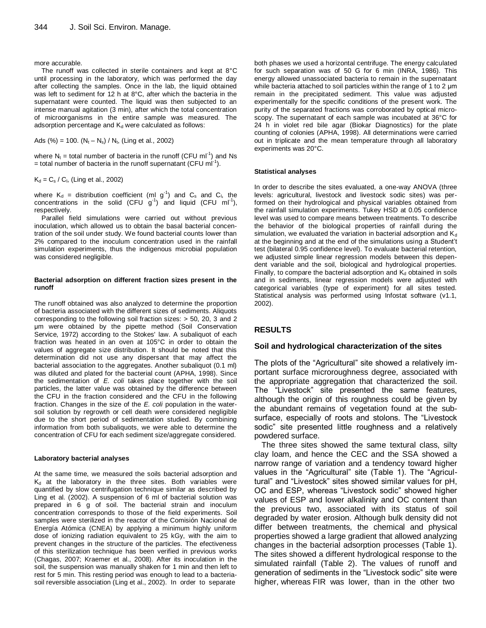more accurable.

The runoff was collected in sterile containers and kept at 8°C until processing in the laboratory, which was performed the day after collecting the samples. Once in the lab, the liquid obtained was left to sediment for 12 h at 8°C, after which the bacteria in the supernatant were counted. The liquid was then subjected to an intense manual agitation (3 min), after which the total concentration of microorganisms in the entire sample was measured. The adsorption percentage and  $K_d$  were calculated as follows:

Ads (%) = 100.  $(N_t - N_s) / N_t$ , (Ling et al., 2002)

where  $N_t$  = total number of bacteria in the runoff (CFU mI<sup>-1</sup>) and Ns  $=$  total number of bacteria in the runoff supernatant (CFU ml<sup>-1</sup>).

 $K_d = C_s / C_l$ , (Ling et al., 2002)

where  $K_d$  = distribution coefficient (ml g<sup>-1</sup>) and  $C_s$  and  $C_l$ , the concentrations in the solid (CFU  $g^{-1}$ ) and liquid (CFU ml<sup>-1</sup>), respectively.

Parallel field simulations were carried out without previous inoculation, which allowed us to obtain the basal bacterial concentration of the soil under study. We found bacterial counts lower than 2% compared to the inoculum concentration used in the rainfall simulation experiments, thus the indigenous microbial population was considered negligible.

## **Bacterial adsorption on different fraction sizes present in the runoff**

The runoff obtained was also analyzed to determine the proportion of bacteria associated with the different sizes of sediments. Aliquots corresponding to the following soil fraction sizes: > 50, 20, 3 and 2 μm were obtained by the pipette method (Soil Conservation Service, 1972) according to the Stokes' law. A subaliquot of each fraction was heated in an oven at 105°C in order to obtain the values of aggregate size distribution. It should be noted that this determination did not use any dispersant that may affect the bacterial association to the aggregates. Another subaliquot (0.1 ml) was diluted and plated for the bacterial count (APHA, 1998). Since the sedimentation of *E. coli* takes place together with the soil particles, the latter value was obtained by the difference between the CFU in the fraction considered and the CFU in the following fraction. Changes in the size of the *E. coli* population in the watersoil solution by regrowth or cell death were considered negligible due to the short period of sedimentation studied. By combining information from both subaliquots, we were able to determine the concentration of CFU for each sediment size/aggregate considered.

## **Laboratory bacterial analyses**

At the same time, we measured the soils bacterial adsorption and  $K_d$  at the laboratory in the three sites. Both variables were quantified by slow centrifugation technique similar as described by Ling et al. (2002). A suspension of 6 ml of bacterial solution was prepared in 6 g of soil. The bacterial strain and inoculum concentration corresponds to those of the field experiments. Soil samples were sterilized in the reactor of the Comisión Nacional de Energía Atómica (CNEA) by applying a minimum highly uniform dose of ionizing radiation equivalent to 25 kGy, with the aim to prevent changes in the structure of the particles. The efectiveness of this sterilization technique has been verified in previous works (Chagas, 2007; Kraemer et al., 2008). After its inoculation in the soil, the suspension was manually shaken for 1 min and then left to rest for 5 min. This resting period was enough to lead to a bacteriasoil reversible association (Ling et al., 2002). In order to separate

both phases we used a horizontal centrifuge. The energy calculated for such separation was of 50 G for 6 min (INRA, 1986). This energy allowed unassociated bacteria to remain in the supernatant while bacteria attached to soil particles within the range of 1 to 2 μm remain in the precipitated sediment. This value was adjusted experimentally for the specific conditions of the present work. The purity of the separated fractions was corroborated by optical microscopy. The supernatant of each sample was incubated at 36°C for 24 h in violet red bile agar (Biokar Diagnostics) for the plate counting of colonies (APHA, 1998). All determinations were carried out in triplicate and the mean temperature through all laboratory experiments was 20°C.

## **Statistical analyses**

In order to describe the sites evaluated, a one-way ANOVA (three levels: agricultural, livestock and livestock sodic sites) was performed on their hydrological and physical variables obtained from the rainfall simulation experiments. Tukey HSD at 0.05 confidence level was used to compare means between treatments. To describe the behavior of the biological properties of rainfall during the simulation, we evaluated the variation in bacterial adsorption and  $K_d$ at the beginning and at the end of the simulations using a Student't test (bilateral 0.95 confidence level). To evaluate bacterial retention, we adjusted simple linear regression models between this dependent variable and the soil, biological and hydrological properties. Finally, to compare the bacterial adsorption and  $K<sub>d</sub>$  obtained in soils and in sediments, linear regression models were adjusted with categorical variables (type of experiment) for all sites tested. Statistical analysis was performed using Infostat software (v1.1, 2002).

## **RESULTS**

## **Soil and hydrological characterization of the sites**

The plots of the "Agricultural" site showed a relatively important surface microroughness degree, associated with the appropriate aggregation that characterized the soil. The "Livestock" site presented the same features, although the origin of this roughness could be given by the abundant remains of vegetation found at the subsurface, especially of roots and stolons. The "Livestock sodic" site presented little roughness and a relatively powdered surface.

The three sites showed the same textural class, silty clay loam, and hence the CEC and the SSA showed a narrow range of variation and a tendency toward higher values in the "Agricultural" site (Table 1). The "Agricultural" and "Livestock" sites showed similar values for pH, OC and ESP, whereas "Livestock sodic" showed higher values of ESP and lower alkalinity and OC content than the previous two, associated with its status of soil degraded by water erosion. Although bulk density did not differ between treatments, the chemical and physical properties showed a large gradient that allowed analyzing changes in the bacterial adsorption processes (Table 1). The sites showed a different hydrological response to the simulated rainfall (Table 2). The values of runoff and generation of sediments in the "Livestock sodic" site were higher, whereas FIR was lower, than in the other two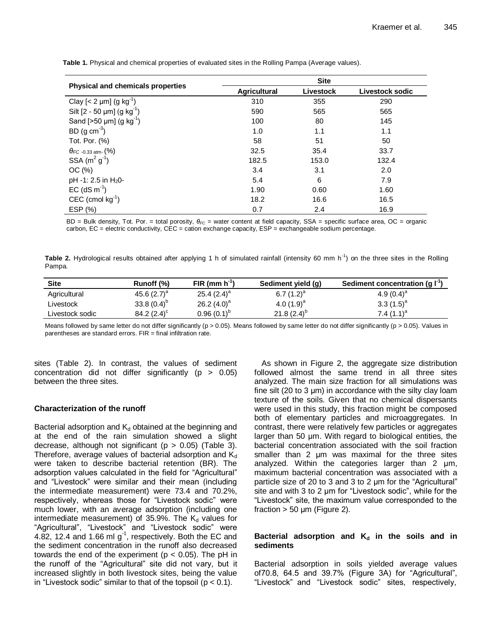|                                             | <b>Site</b>         |           |                 |  |
|---------------------------------------------|---------------------|-----------|-----------------|--|
| <b>Physical and chemicals properties</b>    | <b>Agricultural</b> | Livestock | Livestock sodic |  |
| Clay $[< 2 \mu m]$ (g kg <sup>-1</sup> )    | 310                 | 355       | 290             |  |
| Silt $[2 - 50 \mu m]$ (g kg <sup>-1</sup> ) | 590                 | 565       | 565             |  |
| Sand [ $>50 \mu m$ ] (g kg <sup>-1</sup> )  | 100                 | 80        | 145             |  |
| BD (g cm <sup>-3</sup> )                    | 1.0                 | 1.1       | 1.1             |  |
| Tot. Por. (%)                               | 58                  | 51        | 50              |  |
| $\theta_{FC}$ -0.33 atm- (%)                | 32.5                | 35.4      | 33.7            |  |
| SSA $(m^2 g^1)$                             | 182.5               | 153.0     | 132.4           |  |
| OC(%)                                       | 3.4                 | 3.1       | 2.0             |  |
| $pH - 1: 2.5$ in $H_2O -$                   | 5.4                 | 6         | 7.9             |  |
| $EC$ (dS m <sup>-1</sup> )                  | 1.90                | 0.60      | 1.60            |  |
| CEC (cmol $kg^{-1}$ )                       | 18.2                | 16.6      | 16.5            |  |
| ESP (%)                                     | 0.7                 | 2.4       | 16.9            |  |

**Table 1.** Physical and chemical properties of evaluated sites in the Rolling Pampa (Average values).

BD = Bulk density, Tot. Por. = total porosity, *θFC* = water content at field capacity, SSA = specific surface area, OC = organic carbon, EC = electric conductivity, CEC = cation exchange capacity, ESP = exchangeable sodium percentage.

Table 2. Hydrological results obtained after applying 1 h of simulated rainfall (intensity 60 mm h<sup>-1</sup>) on the three sites in the Rolling Pampa.

| <b>Site</b>     | Runoff (%)       | $FIR(mm h-1)$   | Sediment yield (g) | Sediment concentration (g $\mathsf{I}^{\text{-}1}$ ) |
|-----------------|------------------|-----------------|--------------------|------------------------------------------------------|
| Agricultural    | 45.6 $(2.7)^a$   | 25.4 $(2.4)^a$  | 6.7 $(1.2)^a$      | 4.9 $(0.4)^{a}$                                      |
| Livestock       | 33.8 $(0.4)^{b}$ | 26.2 $(4.0)^a$  | 4.0 $(1.9)^a$      | $3.3(1.5)^a$                                         |
| Livestock sodic | 84.2 $(2.4)^c$   | $0.96(0.1)^{6}$ | 21.8 $(2.4)^{b}$   | 7.4 $(1.1)^a$                                        |

Means followed by same letter do not differ significantly ( $p > 0.05$ ). Means followed by same letter do not differ significantly ( $p > 0.05$ ). Values in parentheses are standard errors. FIR = final infiltration rate.

sites (Table 2). In contrast, the values of sediment concentration did not differ significantly  $(p > 0.05)$ between the three sites.

## **Characterization of the runoff**

Bacterial adsorption and  $K_d$  obtained at the beginning and at the end of the rain simulation showed a slight decrease, although not significant ( $p > 0.05$ ) (Table 3). Therefore, average values of bacterial adsorption and  $K_d$ were taken to describe bacterial retention (BR). The adsorption values calculated in the field for "Agricultural" and "Livestock" were similar and their mean (including the intermediate measurement) were 73.4 and 70.2%, respectively, whereas those for "Livestock sodic" were much lower, with an average adsorption (including one intermediate measurement) of 35.9%. The  $K_d$  values for "Agricultural", "Livestock" and "Livestock sodic" were 4.82, 12.4 and 1.66 ml  $g^{-1}$ , respectively. Both the EC and the sediment concentration in the runoff also decreased towards the end of the experiment ( $p < 0.05$ ). The pH in the runoff of the "Agricultural" site did not vary, but it increased slightly in both livestock sites, being the value in "Livestock sodic" similar to that of the topsoil ( $p < 0.1$ ).

As shown in Figure 2, the aggregate size distribution followed almost the same trend in all three sites analyzed. The main size fraction for all simulations was fine silt (20 to 3 μm) in accordance with the silty clay loam texture of the soils. Given that no chemical dispersants were used in this study, this fraction might be composed both of elementary particles and microaggregates. In contrast, there were relatively few particles or aggregates larger than 50 μm. With regard to biological entities, the bacterial concentration associated with the soil fraction smaller than 2 μm was maximal for the three sites analyzed. Within the categories larger than 2 μm, maximum bacterial concentration was associated with a particle size of 20 to 3 and 3 to 2 μm for the "Agricultural" site and with 3 to 2 μm for "Livestock sodic", while for the "Livestock" site, the maximum value corresponded to the fraction  $> 50 \mu m$  (Figure 2).

# Bacterial adsorption and K<sub>d</sub> in the soils and in **sediments**

Bacterial adsorption in soils yielded average values of70.8, 64.5 and 39.7% (Figure 3A) for "Agricultural", "Livestock" and "Livestock sodic" sites, respectively,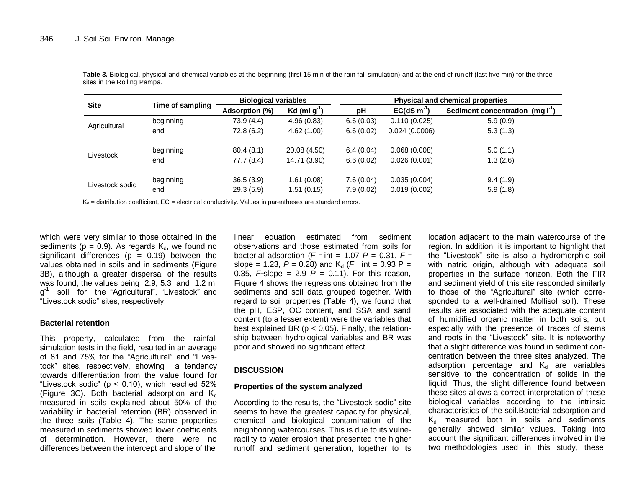| <b>Site</b>     | Time of sampling | <b>Biological variables</b> |                   | <b>Physical and chemical properties</b> |               |                                       |
|-----------------|------------------|-----------------------------|-------------------|-----------------------------------------|---------------|---------------------------------------|
|                 |                  | Adsorption (%)              | Kd (ml $g^{-1}$ ) | рH                                      | $EC(dS m-1)$  | Sediment concentration (mg $I^{-1}$ ) |
| Agricultural    | beginning        | 73.9 (4.4)                  | 4.96(0.83)        | 6.6(0.03)                               | 0.110(0.025)  | 5.9(0.9)                              |
|                 | end              | 72.8 (6.2)                  | 4.62(1.00)        | 6.6(0.02)                               | 0.024(0.0006) | 5.3(1.3)                              |
| Livestock       | beginning        | 80.4(8.1)                   | 20.08 (4.50)      | 6.4(0.04)                               | 0.068(0.008)  | 5.0(1.1)                              |
|                 | end              | 77.7 (8.4)                  | 14.71 (3.90)      | 6.6(0.02)                               | 0.026(0.001)  | 1.3(2.6)                              |
| Livestock sodic | beginning        | 36.5(3.9)                   | 1.61(0.08)        | 7.6(0.04)                               | 0.035(0.004)  | 9.4(1.9)                              |
|                 | end              | 29.3(5.9)                   | 1.51(0.15)        | 7.9(0.02)                               | 0.019(0.002)  | 5.9(1.8)                              |

**Table 3.** Biological, physical and chemical variables at the beginning (first 15 min of the rain fall simulation) and at the end of runoff (last five min) for the three sites in the Rolling Pampa.

 $K_d$  = distribution coefficient, EC = electrical conductivity. Values in parentheses are standard errors.

which were very similar to those obtained in the sediments ( $p = 0.9$ ). As regards  $K_d$ , we found no significant differences ( $p = 0.19$ ) between the values obtained in soils and in sediments (Figure 3B), although a greater dispersal of the results was found, the values being 2.9, 5.3 and 1.2 ml g<sup>1</sup> soil for the "Agricultural", "Livestock" and "Livestock sodic" sites, respectively.

## **Bacterial retention**

This property, calculated from the rainfall simulation tests in the field, resulted in an average of 81 and 75% for the "Agricultural" and "Livestock" sites, respectively, showing a tendency towards differentiation from the value found for "Livestock sodic" ( $p < 0.10$ ), which reached 52% (Figure 3C). Both bacterial adsorption and  $K_d$ measured in soils explained about 50% of the variability in bacterial retention (BR) observed in the three soils (Table 4). The same properties measured in sediments showed lower coefficients of determination. However, there were no differences between the intercept and slope of the

linear equation estimated from sediment observations and those estimated from soils for bacterial adsorption ( $F$  <sup>-</sup> int = 1.07  $P$  = 0.31,  $F$  <sup>-</sup> slope = 1.23,  $P = 0.28$ ) and  $K_d$  ( $F$  – int = 0.93 P = 0.35, *F* slope = 2.9  $\vec{P}$  = 0.11). For this reason, Figure 4 shows the regressions obtained from the sediments and soil data grouped together. With regard to soil properties (Table 4), we found that the pH, ESP, OC content, and SSA and sand content (to a lesser extent) were the variables that best explained BR ( $p < 0.05$ ). Finally, the relationship between hydrological variables and BR was poor and showed no significant effect.

## **DISCUSSION**

## **Properties of the system analyzed**

According to the results, the "Livestock sodic" site seems to have the greatest capacity for physical, chemical and biological contamination of the neighboring watercourses. This is due to its vulnerability to water erosion that presented the higher runoff and sediment generation, together to its

location adjacent to the main watercourse of the region. In addition, it is important to highlight that the "Livestock" site is also a hydromorphic soil with natric origin, although with adequate soil properties in the surface horizon. Both the FIR and sediment yield of this site responded similarly to those of the "Agricultural" site (which corresponded to a well-drained Mollisol soil). These results are associated with the adequate content of humidified organic matter in both soils, but especially with the presence of traces of stems and roots in the "Livestock" site. It is noteworthy that a slight difference was found in sediment concentration between the three sites analyzed. The adsorption percentage and  $K_d$  are variables sensitive to the concentration of solids in the liquid. Thus, the slight difference found between these sites allows a correct interpretation of these biological variables according to the intrinsic characteristics of the soil.Bacterial adsorption and  $K_d$  measured both in soils and sediments generally showed similar values. Taking into account the significant differences involved in the two methodologies used in this study, these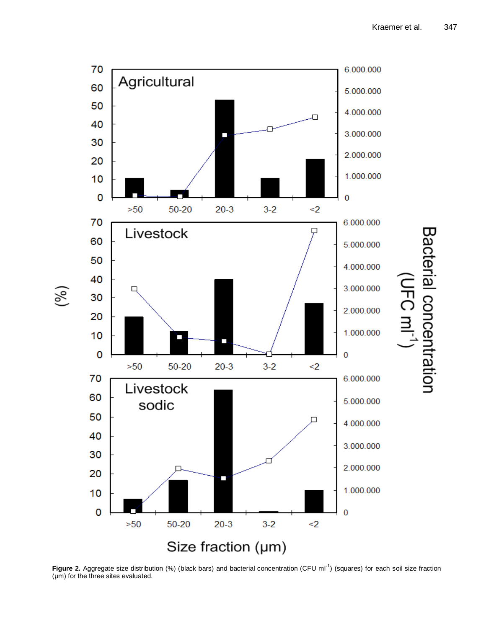

Figure 2. Aggregate size distribution (%) (black bars) and bacterial concentration (CFU ml<sup>-1</sup>) (squares) for each soil size fraction (μm) for the three sites evaluated.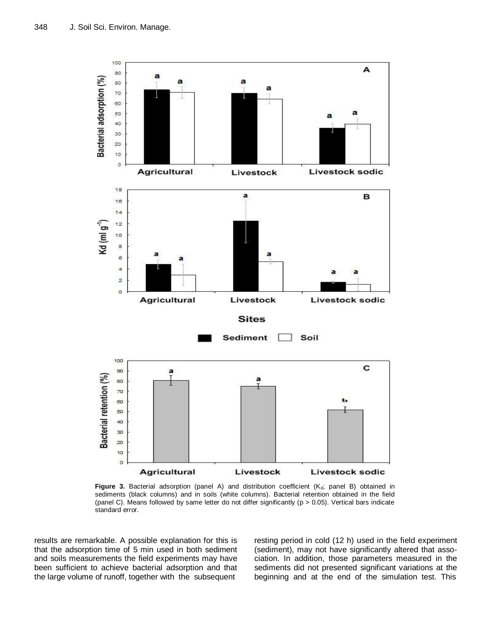

Figure 3. Bacterial adsorption (panel A) and distribution coefficient (K<sub>d</sub>; panel B) obtained in sediments (black columns) and in soils (white columns). Bacterial retention obtained in the field (panel C). Means followed by same letter do not differ significantly ( $p > 0.05$ ). Vertical bars indicate standard error.

results are remarkable. A possible explanation for this is that the adsorption time of 5 min used in both sediment and soils measurements the field experiments may have been sufficient to achieve bacterial adsorption and that the large volume of runoff, together with the subsequent

resting period in cold (12 h) used in the field experiment (sediment), may not have significantly altered that association. In addition, those parameters measured in the sediments did not presented significant variations at the beginning and at the end of the simulation test. This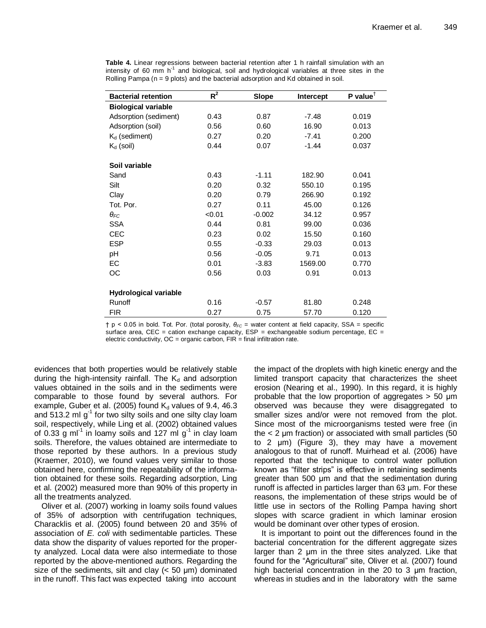| <b>Bacterial retention</b>   | $R^2$  | Slope    | Intercept | P value <sup><math>\dagger</math></sup> |
|------------------------------|--------|----------|-----------|-----------------------------------------|
| <b>Biological variable</b>   |        |          |           |                                         |
| Adsorption (sediment)        | 0.43   | 0.87     | $-7.48$   | 0.019                                   |
| Adsorption (soil)            | 0.56   | 0.60     | 16.90     | 0.013                                   |
| $K_d$ (sediment)             | 0.27   | 0.20     | $-7.41$   | 0.200                                   |
| $K_d$ (soil)                 | 0.44   | 0.07     | $-1.44$   | 0.037                                   |
| Soil variable                |        |          |           |                                         |
| Sand                         | 0.43   | $-1.11$  | 182.90    | 0.041                                   |
| Silt                         | 0.20   | 0.32     | 550.10    | 0.195                                   |
| Clay                         | 0.20   | 0.79     | 266.90    | 0.192                                   |
| Tot. Por.                    | 0.27   | 0.11     | 45.00     | 0.126                                   |
| $\theta_{FC}$                | < 0.01 | $-0.002$ | 34.12     | 0.957                                   |
| <b>SSA</b>                   | 0.44   | 0.81     | 99.00     | 0.036                                   |
| <b>CEC</b>                   | 0.23   | 0.02     | 15.50     | 0.160                                   |
| <b>ESP</b>                   | 0.55   | $-0.33$  | 29.03     | 0.013                                   |
| pH                           | 0.56   | $-0.05$  | 9.71      | 0.013                                   |
| EC.                          | 0.01   | $-3.83$  | 1569.00   | 0.770                                   |
| OС                           | 0.56   | 0.03     | 0.91      | 0.013                                   |
|                              |        |          |           |                                         |
| <b>Hydrological variable</b> |        |          |           |                                         |
| Runoff                       | 0.16   | $-0.57$  | 81.80     | 0.248                                   |
| <b>FIR</b>                   | 0.27   | 0.75     | 57.70     | 0.120                                   |

**Table 4.** Linear regressions between bacterial retention after 1 h rainfall simulation with an intensity of 60 mm  $h^{-1}$  and biological, soil and hydrological variables at three sites in the Rolling Pampa ( $n = 9$  plots) and the bacterial adsorption and Kd obtained in soil.

† p < 0.05 in bold. Tot. Por. (total porosity, *θFC* = water content at field capacity, SSA = specific surface area, CEC = cation exchange capacity,  $ESP =$  exchangeable sodium percentage,  $EC =$ electric conductivity,  $OC = organic carbon$ ,  $FIR = final$  infiltration rate.

evidences that both properties would be relatively stable during the high-intensity rainfall. The  $K_d$  and adsorption values obtained in the soils and in the sediments were comparable to those found by several authors. For example, Guber et al. (2005) found  $K_d$  values of 9.4, 46.3 and 513.2 ml g<sup>1</sup> for two silty soils and one silty clay loam soil, respectively, while Ling et al. (2002) obtained values of 0.33 g ml<sup>-1</sup> in loamy soils and 127 ml g<sup>-1</sup> in clay loam soils. Therefore, the values obtained are intermediate to those reported by these authors. In a previous study (Kraemer, 2010), we found values very similar to those obtained here, confirming the repeatability of the information obtained for these soils. Regarding adsorption, Ling et al. (2002) measured more than 90% of this property in all the treatments analyzed.

Oliver et al. (2007) working in loamy soils found values of 35% of adsorption with centrifugation techniques, Characklis et al. (2005) found between 20 and 35% of association of *E. coli* with sedimentable particles. These data show the disparity of values reported for the property analyzed. Local data were also intermediate to those reported by the above-mentioned authors. Regarding the size of the sediments, silt and clay  $(< 50 \mu m)$  dominated in the runoff. This fact was expected taking into account

the impact of the droplets with high kinetic energy and the limited transport capacity that characterizes the sheet erosion (Nearing et al., 1990). In this regard, it is highly probable that the low proportion of aggregates > 50 μm observed was because they were disaggregated to smaller sizes and/or were not removed from the plot. Since most of the microorganisms tested were free (in the < 2 μm fraction) or associated with small particles (50 to 2 μm) (Figure 3), they may have a movement analogous to that of runoff. Muirhead et al. (2006) have reported that the technique to control water pollution known as "filter strips" is effective in retaining sediments greater than 500 μm and that the sedimentation during runoff is affected in particles larger than 63 μm. For these reasons, the implementation of these strips would be of little use in sectors of the Rolling Pampa having short slopes with scarce gradient in which laminar erosion would be dominant over other types of erosion.

It is important to point out the differences found in the bacterial concentration for the different aggregate sizes larger than 2 μm in the three sites analyzed. Like that found for the "Agricultural" site, Oliver et al. (2007) found high bacterial concentration in the 20 to 3 μm fraction, whereas in studies and in the laboratory with the same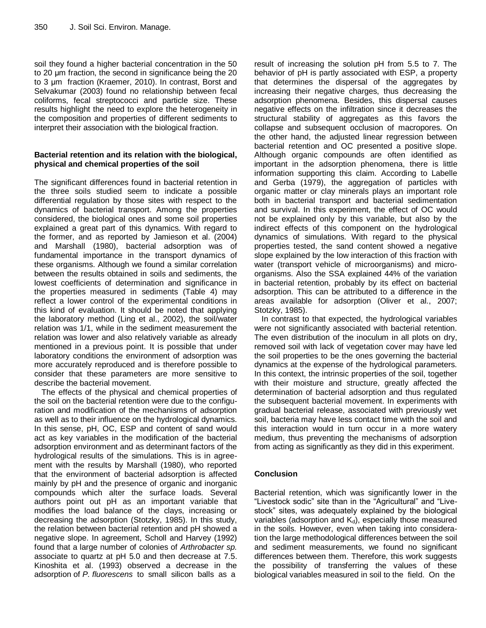soil they found a higher bacterial concentration in the 50 to 20 μm fraction, the second in significance being the 20 to 3 μm fraction (Kraemer, 2010). In contrast, Borst and Selvakumar (2003) found no relationship between fecal coliforms, fecal streptococci and particle size. These results highlight the need to explore the heterogeneity in the composition and properties of different sediments to interpret their association with the biological fraction.

# **Bacterial retention and its relation with the biological, physical and chemical properties of the soil**

The significant differences found in bacterial retention in the three soils studied seem to indicate a possible differential regulation by those sites with respect to the dynamics of bacterial transport. Among the properties considered, the biological ones and some soil properties explained a great part of this dynamics. With regard to the former, and as reported by Jamieson et al. (2004) and Marshall (1980), bacterial adsorption was of fundamental importance in the transport dynamics of these organisms. Although we found a similar correlation between the results obtained in soils and sediments, the lowest coefficients of determination and significance in the properties measured in sediments (Table 4) may reflect a lower control of the experimental conditions in this kind of evaluation. It should be noted that applying the laboratory method (Ling et al., 2002), the soil/water relation was 1/1, while in the sediment measurement the relation was lower and also relatively variable as already mentioned in a previous point. It is possible that under laboratory conditions the environment of adsorption was more accurately reproduced and is therefore possible to consider that these parameters are more sensitive to describe the bacterial movement.

The effects of the physical and chemical properties of the soil on the bacterial retention were due to the configuration and modification of the mechanisms of adsorption as well as to their influence on the hydrological dynamics. In this sense, pH, OC, ESP and content of sand would act as key variables in the modification of the bacterial adsorption environment and as determinant factors of the hydrological results of the simulations. This is in agreement with the results by Marshall (1980), who reported that the environment of bacterial adsorption is affected mainly by pH and the presence of organic and inorganic compounds which alter the surface loads. Several authors point out pH as an important variable that modifies the load balance of the clays, increasing or decreasing the adsorption (Stotzky, 1985). In this study, the relation between bacterial retention and pH showed a negative slope. In agreement, Scholl and Harvey (1992) found that a large number of colonies of *Arthrobacter sp.* associate to quartz at pH 5.0 and then decrease at 7.5. Kinoshita et al. (1993) observed a decrease in the adsorption of *P. fluorescens* to small silicon balls as a

result of increasing the solution pH from 5.5 to 7. The behavior of pH is partly associated with ESP, a property that determines the dispersal of the aggregates by increasing their negative charges, thus decreasing the adsorption phenomena. Besides, this dispersal causes negative effects on the infiltration since it decreases the structural stability of aggregates as this favors the collapse and subsequent occlusion of macropores. On the other hand, the adjusted linear regression between bacterial retention and OC presented a positive slope. Although organic compounds are often identified as important in the adsorption phenomena, there is little information supporting this claim. According to Labelle and Gerba (1979), the aggregation of particles with organic matter or clay minerals plays an important role both in bacterial transport and bacterial sedimentation and survival. In this experiment, the effect of OC would not be explained only by this variable, but also by the indirect effects of this component on the hydrological dynamics of simulations. With regard to the physical properties tested, the sand content showed a negative slope explained by the low interaction of this fraction with water (transport vehicle of microorganisms) and microorganisms. Also the SSA explained 44% of the variation in bacterial retention, probably by its effect on bacterial adsorption. This can be attributed to a difference in the areas available for adsorption (Oliver et al., 2007; Stotzky, 1985).

In contrast to that expected, the hydrological variables were not significantly associated with bacterial retention. The even distribution of the inoculum in all plots on dry, removed soil with lack of vegetation cover may have led the soil properties to be the ones governing the bacterial dynamics at the expense of the hydrological parameters. In this context, the intrinsic properties of the soil, together with their moisture and structure, greatly affected the determination of bacterial adsorption and thus regulated the subsequent bacterial movement. In experiments with gradual bacterial release, associated with previously wet soil, bacteria may have less contact time with the soil and this interaction would in turn occur in a more watery medium, thus preventing the mechanisms of adsorption from acting as significantly as they did in this experiment.

# **Conclusion**

Bacterial retention, which was significantly lower in the "Livestock sodic" site than in the "Agricultural" and "Livestock" sites, was adequately explained by the biological variables (adsorption and  $K_d$ ), especially those measured in the soils. However, even when taking into consideration the large methodological differences between the soil and sediment measurements, we found no significant differences between them. Therefore, this work suggests the possibility of transferring the values of these biological variables measured in soil to the field. On the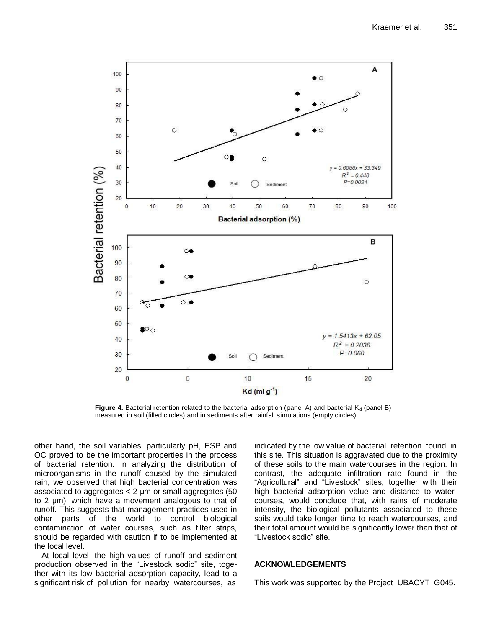

**Figure 4.** Bacterial retention related to the bacterial adsorption (panel A) and bacterial  $K_d$  (panel B) measured in soil (filled circles) and in sediments after rainfall simulations (empty circles).

other hand, the soil variables, particularly pH, ESP and OC proved to be the important properties in the process of bacterial retention. In analyzing the distribution of microorganisms in the runoff caused by the simulated rain, we observed that high bacterial concentration was associated to aggregates < 2 μm or small aggregates (50 to 2 μm), which have a movement analogous to that of runoff. This suggests that management practices used in other parts of the world to control biological contamination of water courses, such as filter strips, should be regarded with caution if to be implemented at the local level.

At local level, the high values of runoff and sediment production observed in the "Livestock sodic" site, together with its low bacterial adsorption capacity, lead to a significant risk of pollution for nearby watercourses, as

indicated by the low value of bacterial retention found in this site. This situation is aggravated due to the proximity of these soils to the main watercourses in the region. In contrast, the adequate infiltration rate found in the "Agricultural" and "Livestock" sites, together with their high bacterial adsorption value and distance to watercourses, would conclude that, with rains of moderate intensity, the biological pollutants associated to these soils would take longer time to reach watercourses, and their total amount would be significantly lower than that of "Livestock sodic" site.

# **ACKNOWLEDGEMENTS**

This work was supported by the Project UBACYT G045.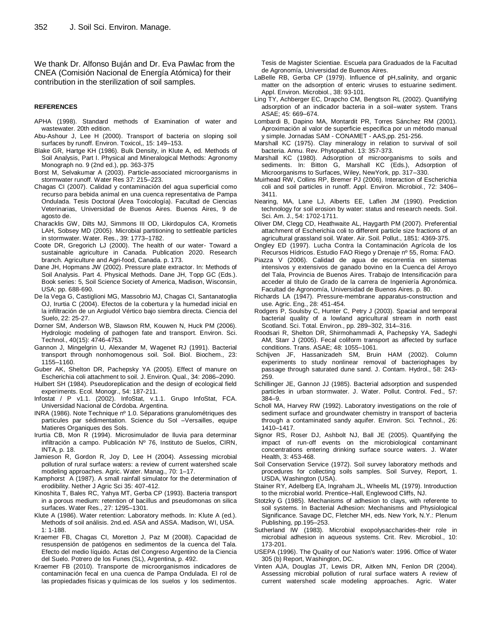We thank Dr. Alfonso Buján and Dr. Eva Pawlac from the CNEA (Comisión Nacional de Energía Atómica) for their contribution in the sterilization of soil samples.

#### **REFERENCES**

- APHA (1998). Standard methods of Examination of water and wastewater. 20th edition.
- Abu-Ashour J, Lee H (2000). Transport of bacteria on sloping soil surfaces by runoff. Environ. Toxicol,, 15: 149–153.
- Blake GR, Hartge KH (1986). Bulk Density, in Klute A, ed. Methods of Soil Analysis, Part I. Physical and Mineralogical Methods: Agronomy Monograph no. 9 (2nd ed.), pp. 363-375
- Borst M, Selvakumar A (2003). Particle-associated microorganisms in stormwater runoff. Water Res 37: 215–223.
- Chagas CI (2007). Calidad y contaminación del agua superficial como recurso para bebida animal en una cuenca representativa de Pampa Ondulada. Tesis Doctoral (Área Toxicología). Facultad de Ciencias Veterinarias, Universidad de Buenos Aires. Buenos Aires, 9 de agosto de.
- Characklis GW, Dilts MJ, Simmons III OD, Likirdopulos CA, Krometis LAH, Sobsey MD (2005). Microbial partitioning to settleable particles in stormwater. Water. Res., 39: 1773–1782.
- Coote DR, Gregorich LJ (2000). The health of our water- Toward a sustainable agriculture in Canada. Publication 2020. Research branch. Agriculture and Agri-food, Canada. p. 173.
- Dane JH, Hopmans JW (2002). Pressure plate extractor. In: Methods of Soil Analysis. Part 4. Physical Methods. Dane JH, Topp GC (Eds.). Book series: 5, Soil Science Society of America, Madison, Wisconsin, USA: pp. 688-690.
- De la Vega G, Castiglioni MG, Massobrio MJ, Chagas CI, Santanatoglia OJ, Irurtia C (2004). Efectos de la cobertura y la humedad inicial en la infiltración de un Argiudol Vértico bajo siembra directa. Ciencia del Suelo, 22: 25-27.
- Dorner SM, Anderson WB, Slawson RM, Kouwen N, Huck PM (2006). Hydrologic modeling of pathogen fate and transport. Environ. Sci. Technol., 40(15): 4746-4753.
- Gannon J, Mingelgrin U, Alexander M, Wagenet RJ (1991). Bacterial transport through nonhomogenous soil. Soil. Biol. Biochem., 23: 1155–1160.
- Guber AK, Shelton DR, Pachepsky YA (2005). Effect of manure on Escherichia coli attachment to soil. J. Environ. Qual., 34: 2086–2090.
- Hulbert SH (1984). Pseudoreplication and the design of ecological field experiments. Ecol. Monogr., 54: 187-211.
- Infostat / P v1.1. (2002). InfoStat, v.1.1. Grupo InfoStat, FCA. Universidad Nacional de Córdoba. Argentina.
- INRA (1986). Note Technique nº 1.0. Séparations granulométriques des particules par sédimentation. Science du Sol –Versailles, equipe Matieres Organiques des Sols.
- Irurtia CB, Mon R (1994). Microsimulador de lluvia para determinar infiltración a campo. Publicación Nº 76, Instituto de Suelos, CIRN, INTA, p. 18.
- Jamieson R, Gordon R, Joy D, Lee H (2004). Assessing microbial pollution of rural surface waters: a review of current watershed scale modeling approaches. Agric. Water. Manag., 70: 1–17.
- Kamphorst A (1987). A small rainfall simulator for the determination of erodibility. Nether J Agric Sci 35: 407-412.
- Kinoshita T, Bales RC, Yahya MT, Gerba CP (1993). Bacteria transport in a porous medium: retention of bacillus and pseudomonas on silica surfaces. Water Res., 27: 1295–1301.
- Klute A (1986). Water retention: Laboratory methods. In: Klute A (ed.). Methods of soil análisis. 2nd.ed. ASA and ASSA. Madison, WI, USA. 1: 1-188.
- Kraemer FB, Chagas CI, Moretton J, Paz M (2008). Capacidad de resuspensión de patógenos en sedimentos de la cuenca del Tala. Efecto del medio líquido. Actas del Congreso Argentino de la Ciencia del Suelo. Potrero de los Funes (SL), Argentina, p. 492.
- Kraemer FB (2010). Transporte de microorganismos indicadores de contaminación fecal en una cuenca de Pampa Ondulada. El rol de las propiedades físicas y químicas de los suelos y los sedimentos.

Tesis de Magister Scientiae. Escuela para Graduados de la Facultad de Agronomía, Universidad de Buenos Aires.

- LaBelle RB, Gerba CP (1979). Influence of pH,salinity, and organic matter on the adsorption of enteric viruses to estuarine sediment. Appl. Environ. Microbiol., 38: 93-101.
- Ling TY, Achberger EC, Drapcho CM, Bengtson RL (2002). Quantifying adsorption of an indicador bacteria in a soil–water system. Trans ASAE; 45: 669–674.
- Lombardi B, Dapino MA, Montardit PR, Torres Sánchez RM (2001). Aproximación al valor de superficie especifica por un método manual y simple. Jornadas SAM - CONAMET - AAS,pp. 251-256.
- Marshall KC (1975). Clay mineralogy in relation to survival of soil bacteria. Annu. Rev. Phytopathol. 13: 357-373.
- Marshall KC (1980). Adsorption of microorganisms to soils and sediments. In: Bitton G, Marshall KC (Eds.), Adsorption of Microorganisms to Surfaces, Wiley, NewYork, pp. 317–330.
- Muirhead RW, Collins RP, Bremer PJ (2006). Interaction of Escherichia coli and soil particles in runoff. Appl. Environ. Microbiol., 72: 3406– 3411.
- Nearing, MA, Lane LJ, Alberts EE, Laflen JM (1990). Prediction technology for soil erosion by water: status and research needs. Soil. Sci. Am. J., 54: 1702-1711.
- Oliver DM, Clegg CD, Heathwaite AL, Haygarth PM (2007). Preferential attachment of Escherichia coli to different particle size fractions of an agricultural grassland soil. Water. Air. Soil. Pollut., 1851: 4369-375.
- Ongley ED (1997). Lucha Contra la Contaminación Agrícola de los Recursos Hídricos. Estudio FAO Riego y Drenaje nº 55, Roma: FAO.
- Piazza V (2006). Calidad de agua de escorrentía en sistemas intensivos y extensivos de ganado bovino en la Cuenca del Arroyo del Tala, Provincia de Buenos Aires. Trabajo de Intensificación para acceder al título de Grado de la carrera de Ingeniería Agronómica. Facultad de Agronomía, Universidad de Buenos Aires. p. 80.
- Richards LA (1947). Pressure-membrane apparatus-construction and use. Agric. Eng., 28: 451-454.
- Rodgers P, Soulsby C, Hunter C, Petry J (2003). Spacial and temporal bacterial quality of a lowland agricultural stream in north east Scotland. Sci. Total. Environ., pp. 289–302, 314–316.
- Roodsari R, Shelton DR, Shirmohammadi A, Pachepsky YA, Sadeghi AM, Starr J (2005). Fecal coliform transport as affected by surface conditions. Trans. ASAE; 48: 1055–1061.
- [Schijven JF,](javascript:Menu2() [Hassanizadeh](javascript:Menu2() SM, Bruin HAM (2002). Column experiments to study nonlinear removal of bacteriophages by passage through saturated dune sand. J. Contam. Hydrol., 58: 243- 259.
- Schillinger JE, Gannon JJ (1985). Bacterial adsorption and suspended particles in urban stormwater. J. Water. Pollut. Control. Fed., 57: 384–9.
- Scholl MA, Harvey RW (1992). Laboratory investigations on the role of sediment surface and groundwater chemistry in transport of bacteria through a contaminated sandy aquifer. Environ. Sci. Technol., 26: 1410–1417.
- Signor RS, [Roser](http://www.ncbi.nlm.nih.gov/sites/entrez?Db=pubmed&Cmd=Search&Term=%22Roser%20DJ%22%5BAuthor%5D&itool=EntrezSystem2.PEntrez.Pubmed.Pubmed_ResultsPanel.Pubmed_DiscoveryPanel.Pubmed_RVAbstractPlus) DJ, [Ashbolt](http://www.ncbi.nlm.nih.gov/sites/entrez?Db=pubmed&Cmd=Search&Term=%22Ashbolt%20NJ%22%5BAuthor%5D&itool=EntrezSystem2.PEntrez.Pubmed.Pubmed_ResultsPanel.Pubmed_DiscoveryPanel.Pubmed_RVAbstractPlus) NJ, [Ball](http://www.ncbi.nlm.nih.gov/sites/entrez?Db=pubmed&Cmd=Search&Term=%22Ball%20JE%22%5BAuthor%5D&itool=EntrezSystem2.PEntrez.Pubmed.Pubmed_ResultsPanel.Pubmed_DiscoveryPanel.Pubmed_RVAbstractPlus) JE (2005). [Quantifying the](http://www.iwaponline.com/scripts/dtSearch/dtisapi6.dll?cmd=getdoc&DocId=117&Index=E%3a%5cdtIndex%5cIW%5fJWH&HitCount=1&hits=230+&SearchForm=D%3a%5ciwaponline%5csearch%5csearch%2ehtm)  [impact of run-off events on the microbiological contaminant](http://www.iwaponline.com/scripts/dtSearch/dtisapi6.dll?cmd=getdoc&DocId=117&Index=E%3a%5cdtIndex%5cIW%5fJWH&HitCount=1&hits=230+&SearchForm=D%3a%5ciwaponline%5csearch%5csearch%2ehtm)  [concentrations entering drinking surface source waters.](http://www.iwaponline.com/scripts/dtSearch/dtisapi6.dll?cmd=getdoc&DocId=117&Index=E%3a%5cdtIndex%5cIW%5fJWH&HitCount=1&hits=230+&SearchForm=D%3a%5ciwaponline%5csearch%5csearch%2ehtm) J. Water Health, 3: 453-468.
- Soil Conservation Service (1972). Soil survey laboratory methods and procedures for collecting soils samples. Soil Survey, Report, 1. USDA, Washington (USA).
- Stainer RY, Adelberg EA, Ingraham JL, Wheelis ML (1979). Introduction to the microbial world. Prentice–Hall, Englewood Cliffs, NJ.
- Stotzky G (1985). Mechanisms of adhesion to clays, with referente to soil systems. In Bacterial Adhesion: Mechanisms and Physiological Significance. Savage DC, Fletcher MH, eds. New York, N.Y.: Plenum Publishing, pp.195–253.
- Sutherland IW (1983). Microbial exopolysaccharides-their role in microbial adhesion in aqueous systems. Crit. Rev. Microbiol., 10: 173-201.
- USEPA (1996). The Quality of our Nation's water: 1996. Office of Water 305 (b) Report, Washington, DC.
- Vinten AJA, Douglas JT, Lewis DR, Aitken MN, Fenlon DR (2004). Assessing microbial pollution of rural surface waters A review of current watershed scale modeling approaches. Agric. Water